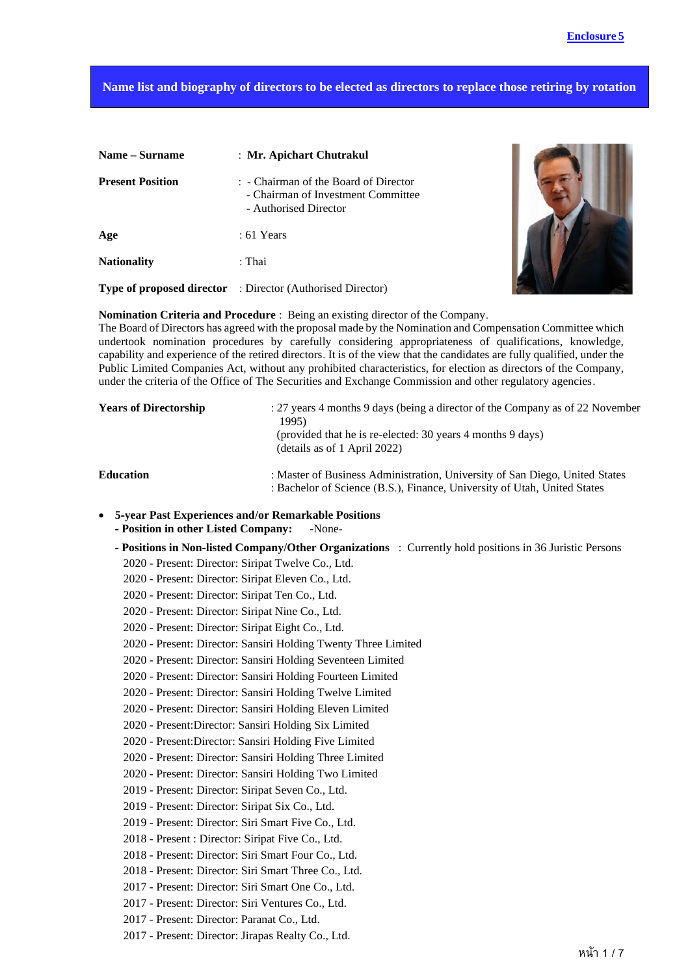## **Name list and biography of directors to be elected as directors to replace those retiring by rotation**

| Name – Surname          | : Mr. Apichart Chutrakul                                                                             |
|-------------------------|------------------------------------------------------------------------------------------------------|
| <b>Present Position</b> | : - Chairman of the Board of Director<br>- Chairman of Investment Committee<br>- Authorised Director |
| Age                     | $: 61$ Years                                                                                         |
| <b>Nationality</b>      | : Thai                                                                                               |
|                         | <b>Type of proposed director</b> : Director (Authorised Director)                                    |



**Nomination Criteria and Procedure** : Being an existing director of the Company.

The Board of Directors has agreed with the proposal made by the Nomination and Compensation Committee which undertook nomination procedures by carefully considering appropriateness of qualifications, knowledge, capability and experience of the retired directors. It is of the view that the candidates are fully qualified, under the Public Limited Companies Act, without any prohibited characteristics, for election as directors of the Company, under the criteria of the Office of The Securities and Exchange Commission and other regulatory agencies.

| <b>Years of Directorship</b> | : 27 years 4 months 9 days (being a director of the Company as of 22 November<br>1995)<br>(provided that he is re-elected: 30 years 4 months 9 days)<br>(details as of 1 April 2022) |  |
|------------------------------|--------------------------------------------------------------------------------------------------------------------------------------------------------------------------------------|--|
| <b>Education</b>             | : Master of Business Administration, University of San Diego, United States<br>: Bachelor of Science (B.S.), Finance, University of Utah, United States                              |  |

- **5-year Past Experiences and/or Remarkable Positions**
	- **- Position in other Listed Company:** -None-
	- **- Positions in Non-listed Company/Other Organizations** : Currently hold positions in 36 Juristic Persons
		- 2020 Present: Director: Siripat Twelve Co., Ltd.
		- 2020 Present: Director: Siripat Eleven Co., Ltd.
		- 2020 Present: Director: Siripat Ten Co., Ltd.
		- 2020 Present: Director: Siripat Nine Co., Ltd.
		- 2020 Present: Director: Siripat Eight Co., Ltd.
		- 2020 Present: Director: Sansiri Holding Twenty Three Limited
		- 2020 Present: Director: Sansiri Holding Seventeen Limited
		- 2020 Present: Director: Sansiri Holding Fourteen Limited
		- 2020 Present: Director: Sansiri Holding Twelve Limited
		- 2020 Present: Director: Sansiri Holding Eleven Limited
		- 2020 Present:Director: Sansiri Holding Six Limited
		- 2020 Present:Director: Sansiri Holding Five Limited
		- 2020 Present: Director: Sansiri Holding Three Limited
		- 2020 Present: Director: Sansiri Holding Two Limited
		- 2019 Present: Director: Siripat Seven Co., Ltd.
		- 2019 Present: Director: Siripat Six Co., Ltd.
		- 2019 Present: Director: Siri Smart Five Co., Ltd.
		- 2018 Present : Director: Siripat Five Co., Ltd.
		- 2018 Present: Director: Siri Smart Four Co., Ltd.
		- 2018 Present: Director: Siri Smart Three Co., Ltd.
		- 2017 Present: Director: Siri Smart One Co., Ltd.
		- 2017 Present: Director: Siri Ventures Co., Ltd.
		- 2017 Present: Director: Paranat Co., Ltd.
		- 2017 Present: Director: Jirapas Realty Co., Ltd.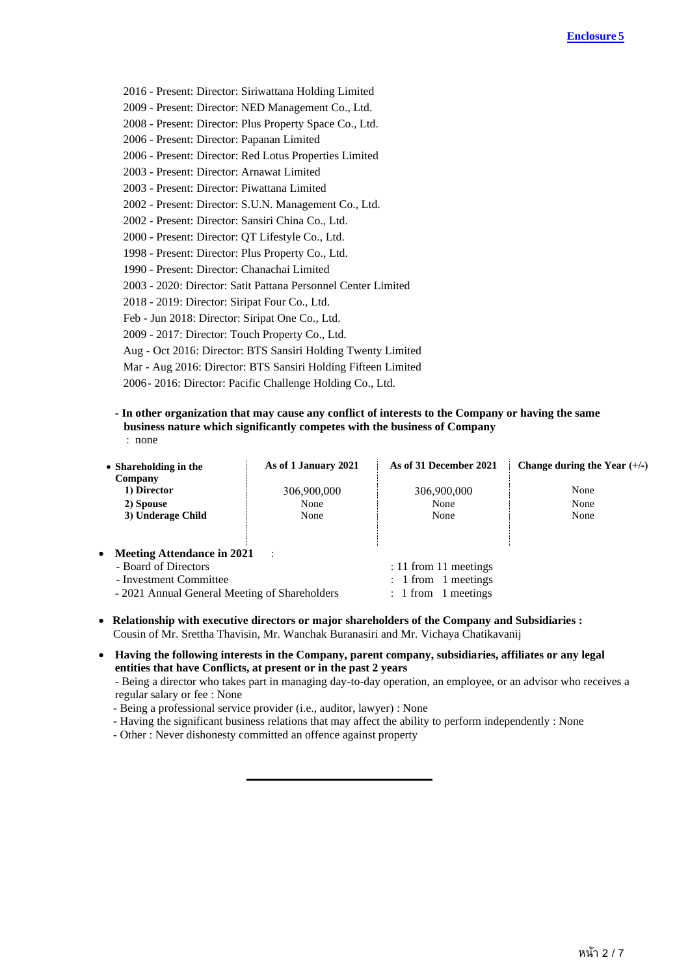- 2016 Present: Director: Siriwattana Holding Limited
- 2009 Present: Director: NED Management Co., Ltd.
- 2008 Present: Director: Plus Property Space Co., Ltd.
- 2006 Present: Director: Papanan Limited
- 2006 Present: Director: Red Lotus Properties Limited
- 2003 Present: Director: Arnawat Limited
- 2003 Present: Director: Piwattana Limited
- 2002 Present: Director: S.U.N. Management Co., Ltd.
- 2002 Present: Director: Sansiri China Co., Ltd.
- 2000 Present: Director: QT Lifestyle Co., Ltd.
- 1998 Present: Director: Plus Property Co., Ltd.
- 1990 Present: Director: Chanachai Limited
- 2003 2020: Director: Satit Pattana Personnel Center Limited
- 2018 2019: Director: Siripat Four Co., Ltd.
- Feb Jun 2018: Director: Siripat One Co., Ltd.
- 2009 2017: Director: Touch Property Co., Ltd.
- Aug Oct 2016: Director: BTS Sansiri Holding Twenty Limited
- Mar Aug 2016: Director: BTS Sansiri Holding Fifteen Limited
- 2006- 2016: Director: Pacific Challenge Holding Co., Ltd.
- **- In other organization that may cause any conflict of interests to the Company or having the same business nature which significantly competes with the business of Company** : none

| • Shareholding in the<br>Company               | As of 1 January 2021 | As of 31 December 2021 | Change during the Year $(+/-)$ |
|------------------------------------------------|----------------------|------------------------|--------------------------------|
| 1) Director                                    | 306,900,000          | 306,900,000            | None                           |
| 2) Spouse                                      | None                 | None                   | None                           |
| 3) Underage Child                              | None                 | None                   | None                           |
|                                                |                      |                        |                                |
| <b>Meeting Attendance in 2021</b><br>$\bullet$ | $\sim$ 1             |                        |                                |
| - Board of Directors                           |                      | : 11 from 11 meetings  |                                |
| - Investment Committee                         |                      | $: 1$ from 1 meetings  |                                |
| - 2021 Annual General Meeting of Shareholders  |                      | 1 meetings<br>: 1 from |                                |
|                                                |                      |                        |                                |

- • **Relationship with executive directors or major shareholders of the Company and Subsidiaries :**  Cousin of Mr. Srettha Thavisin, Mr. Wanchak Buranasiri and Mr. Vichaya Chatikavanij
- **Having the following interests in the Company, parent company, subsidiaries, affiliates or any legal entities that have Conflicts, at present or in the past 2 years**
	- Being a director who takes part in managing day-to-day operation, an employee, or an advisor who receives a regular salary or fee : None
	- Being a professional service provider (i.e., auditor, lawyer) : None
	- Having the significant business relations that may affect the ability to perform independently : None
	- Other : Never dishonesty committed an offence against property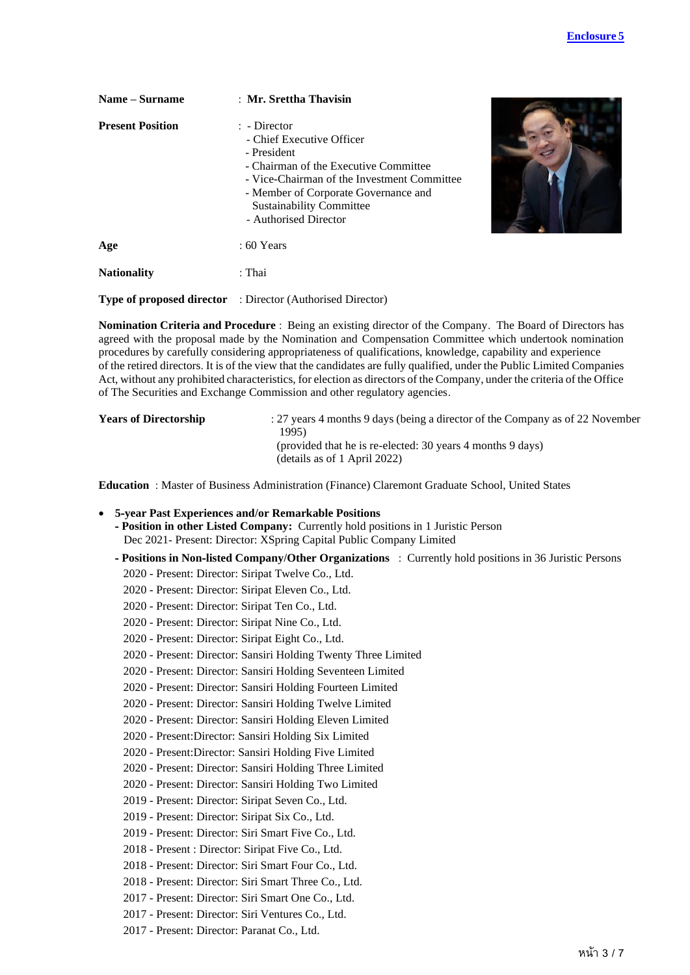| Name – Surname          | : Mr. Srettha Thavisin                                                                                                                                                                                                                                        |  |
|-------------------------|---------------------------------------------------------------------------------------------------------------------------------------------------------------------------------------------------------------------------------------------------------------|--|
| <b>Present Position</b> | $\therefore$ Director<br>- Chief Executive Officer<br>- President<br>- Chairman of the Executive Committee<br>- Vice-Chairman of the Investment Committee<br>- Member of Corporate Governance and<br><b>Sustainability Committee</b><br>- Authorised Director |  |
| Age                     | $:60$ Years                                                                                                                                                                                                                                                   |  |
| <b>Nationality</b>      | : Thai                                                                                                                                                                                                                                                        |  |
|                         | <b>Type of proposed director</b> : Director (Authorised Director)                                                                                                                                                                                             |  |

**Nomination Criteria and Procedure** : Being an existing director of the Company. The Board of Directors has agreed with the proposal made by the Nomination and Compensation Committee which undertook nomination procedures by carefully considering appropriateness of qualifications, knowledge, capability and experience of the retired directors. It is of the view that the candidates are fully qualified, under the Public Limited Companies Act, without any prohibited characteristics, for election as directors of the Company, under the criteria of the Office of The Securities and Exchange Commission and other regulatory agencies.

| <b>Years of Directorship</b> | : 27 years 4 months 9 days (being a director of the Company as of 22 November |
|------------------------------|-------------------------------------------------------------------------------|
|                              | 1995                                                                          |
|                              | (provided that he is re-elected: 30 years 4 months 9 days)                    |
|                              | (details as of 1 April 2022)                                                  |

**Education** : Master of Business Administration (Finance) Claremont Graduate School, United States

- **5-year Past Experiences and/or Remarkable Positions**
	- **- Position in other Listed Company:** Currently hold positions in 1 Juristic Person Dec 2021- Present: Director: XSpring Capital Public Company Limited
	- **- Positions in Non-listed Company/Other Organizations** : Currently hold positions in 36 Juristic Persons
		- 2020 Present: Director: Siripat Twelve Co., Ltd.
		- 2020 Present: Director: Siripat Eleven Co., Ltd.
		- 2020 Present: Director: Siripat Ten Co., Ltd.
		- 2020 Present: Director: Siripat Nine Co., Ltd.
		- 2020 Present: Director: Siripat Eight Co., Ltd.
		- 2020 Present: Director: Sansiri Holding Twenty Three Limited
		- 2020 Present: Director: Sansiri Holding Seventeen Limited
		- 2020 Present: Director: Sansiri Holding Fourteen Limited
		- 2020 Present: Director: Sansiri Holding Twelve Limited
		- 2020 Present: Director: Sansiri Holding Eleven Limited
		- 2020 Present:Director: Sansiri Holding Six Limited
		- 2020 Present:Director: Sansiri Holding Five Limited
		- 2020 Present: Director: Sansiri Holding Three Limited
		- 2020 Present: Director: Sansiri Holding Two Limited
		- 2019 Present: Director: Siripat Seven Co., Ltd.
		- 2019 Present: Director: Siripat Six Co., Ltd.
		- 2019 Present: Director: Siri Smart Five Co., Ltd.
		- 2018 Present : Director: Siripat Five Co., Ltd.
		- 2018 Present: Director: Siri Smart Four Co., Ltd.
		- 2018 Present: Director: Siri Smart Three Co., Ltd.
		- 2017 Present: Director: Siri Smart One Co., Ltd.
		- 2017 Present: Director: Siri Ventures Co., Ltd.
		- 2017 Present: Director: Paranat Co., Ltd.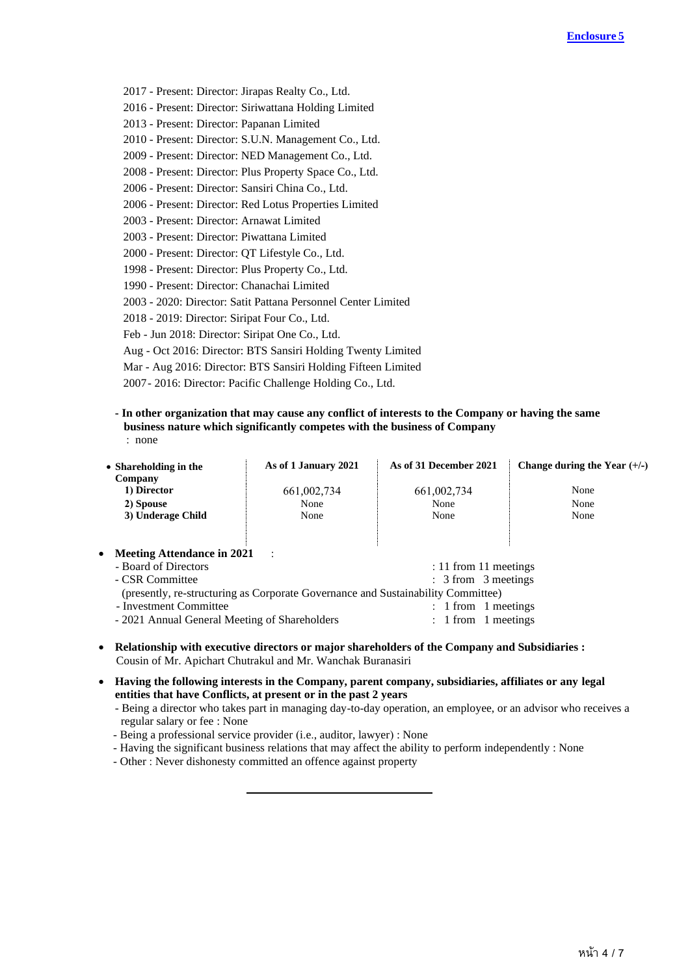- 2017 Present: Director: Jirapas Realty Co., Ltd.
- 2016 Present: Director: Siriwattana Holding Limited
- 2013 Present: Director: Papanan Limited
- 2010 Present: Director: S.U.N. Management Co., Ltd.
- 2009 Present: Director: NED Management Co., Ltd.
- 2008 Present: Director: Plus Property Space Co., Ltd.
- 2006 Present: Director: Sansiri China Co., Ltd.
- 2006 Present: Director: Red Lotus Properties Limited
- 2003 Present: Director: Arnawat Limited
- 2003 Present: Director: Piwattana Limited
- 2000 Present: Director: QT Lifestyle Co., Ltd.
- 1998 Present: Director: Plus Property Co., Ltd.
- 1990 Present: Director: Chanachai Limited
- 2003 2020: Director: Satit Pattana Personnel Center Limited
- 2018 2019: Director: Siripat Four Co., Ltd.
- Feb Jun 2018: Director: Siripat One Co., Ltd.
- Aug Oct 2016: Director: BTS Sansiri Holding Twenty Limited
- Mar Aug 2016: Director: BTS Sansiri Holding Fifteen Limited
- 2007- 2016: Director: Pacific Challenge Holding Co., Ltd.
- **- In other organization that may cause any conflict of interests to the Company or having the same business nature which significantly competes with the business of Company**

| ١T                 |
|--------------------|
| ×<br>۰,<br>×<br>۰, |
|                    |

| • Shareholding in the<br>Company | As of 1 January 2021 | As of 31 December 2021                                                           | Change during the Year $(+/-)$ |
|----------------------------------|----------------------|----------------------------------------------------------------------------------|--------------------------------|
| 1) Director                      | 661,002,734          | 661,002,734                                                                      | None                           |
| 2) Spouse                        | None                 | None                                                                             | None                           |
| 3) Underage Child                | None                 | None                                                                             | None                           |
| • Meeting Attendance in 2021     | $\sim$ 1             |                                                                                  |                                |
| - Board of Directors             |                      | : 11 from 11 meetings                                                            |                                |
| - CSR Committee                  |                      | : 3 from 3 meetings                                                              |                                |
|                                  |                      | (presently, re-structuring as Corporate Governance and Sustainability Committee) |                                |
| - Investment Committee           |                      | 1 from 1 meetings                                                                |                                |

- 2021 Annual General Meeting of Shareholders : 1 from 1 meetings
- **Relationship with executive directors or major shareholders of the Company and Subsidiaries :**  Cousin of Mr. Apichart Chutrakul and Mr. Wanchak Buranasiri
- **Having the following interests in the Company, parent company, subsidiaries, affiliates or any legal entities that have Conflicts, at present or in the past 2 years**
	- Being a director who takes part in managing day-to-day operation, an employee, or an advisor who receives a regular salary or fee : None
	- Being a professional service provider (i.e., auditor, lawyer) : None
	- Having the significant business relations that may affect the ability to perform independently : None
	- Other : Never dishonesty committed an offence against property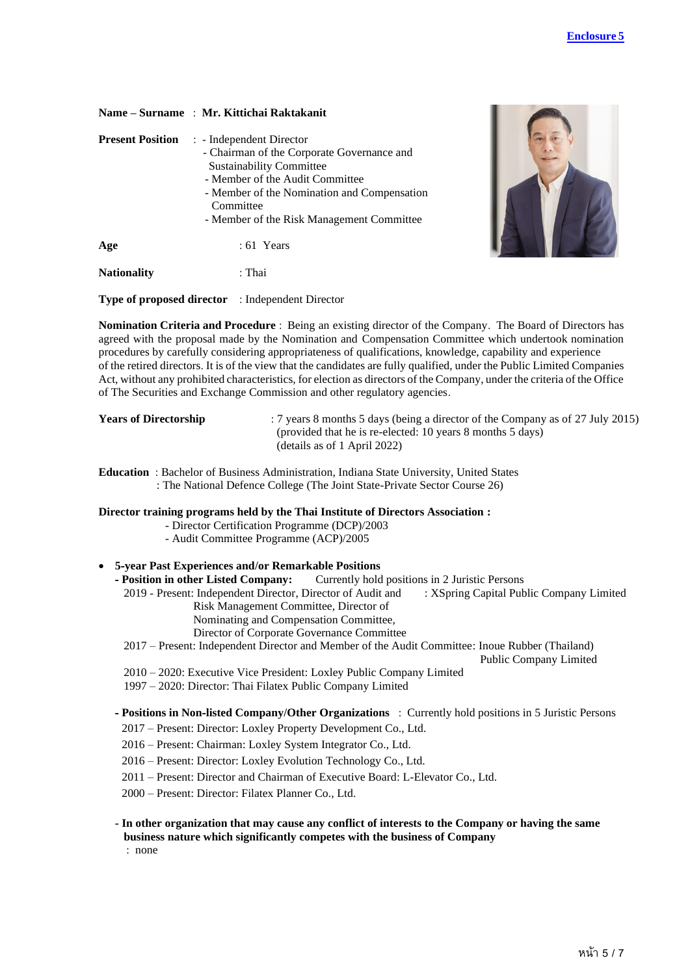| Name – Surname : Mr. Kittichai Raktakanit |  |  |  |  |
|-------------------------------------------|--|--|--|--|
|-------------------------------------------|--|--|--|--|

| <b>Present Position</b> | : - Independent Director<br>- Chairman of the Corporate Governance and<br><b>Sustainability Committee</b><br>- Member of the Audit Committee<br>- Member of the Nomination and Compensation<br>Committee<br>- Member of the Risk Management Committee |  |
|-------------------------|-------------------------------------------------------------------------------------------------------------------------------------------------------------------------------------------------------------------------------------------------------|--|
| Age                     | $: 61$ Years                                                                                                                                                                                                                                          |  |
| <b>Nationality</b>      | : Thai                                                                                                                                                                                                                                                |  |



**Type of proposed director** : Independent Director

**Nomination Criteria and Procedure** : Being an existing director of the Company. The Board of Directors has agreed with the proposal made by the Nomination and Compensation Committee which undertook nomination procedures by carefully considering appropriateness of qualifications, knowledge, capability and experience of the retired directors. It is of the view that the candidates are fully qualified, under the Public Limited Companies Act, without any prohibited characteristics, for election as directors of the Company, under the criteria of the Office of The Securities and Exchange Commission and other regulatory agencies.

**Years of Directorship** : 7 years 8 months 5 days (being a director of the Company as of 27 July 2015) (provided that he is re-elected: 10 years 8 months 5 days) (details as of 1 April 2022)

**Education** : Bachelor of Business Administration, Indiana State University, United States : The National Defence College (The Joint State-Private Sector Course 26)

#### **Director training programs held by the Thai Institute of Directors Association :**

- Director Certification Programme (DCP)/2003
- Audit Committee Programme (ACP)/2005

# • **5-year Past Experiences and/or Remarkable Positions**

**Currently hold positions in 2 Juristic Persons** 

 2019 - Present: Independent Director, Director of Audit and : XSpring Capital Public Company Limited Risk Management Committee, Director of

Nominating and Compensation Committee,

Director of Corporate Governance Committee

2017 – Present: Independent Director and Member of the Audit Committee: Inoue Rubber (Thailand)

Public Company Limited

2010 – 2020: Executive Vice President: Loxley Public Company Limited

1997 – 2020: Director: Thai Filatex Public Company Limited

**- Positions in Non-listed Company/Other Organizations** : Currently hold positions in 5 Juristic Persons

- 2017 Present: Director: Loxley Property Development Co., Ltd.
- 2016 Present: Chairman: Loxley System Integrator Co., Ltd.
- 2016 Present: Director: Loxley Evolution Technology Co., Ltd.

2011 – Present: Director and Chairman of Executive Board: L-Elevator Co., Ltd.

2000 – Present: Director: Filatex Planner Co., Ltd.

## **- In other organization that may cause any conflict of interests to the Company or having the same business nature which significantly competes with the business of Company**

: none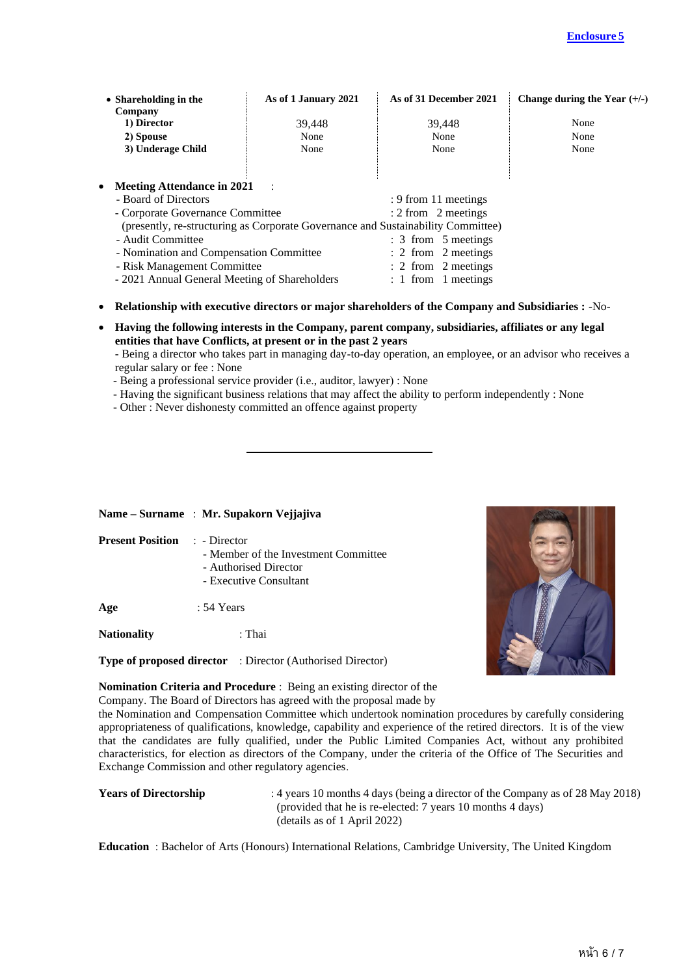| • Shareholding in the<br>Company              | As of 1 January 2021 | As of 31 December 2021                                                           | Change during the Year $(+/-)$ |
|-----------------------------------------------|----------------------|----------------------------------------------------------------------------------|--------------------------------|
| 1) Director                                   | 39,448               | 39,448                                                                           | None                           |
| 2) Spouse                                     | None                 | None                                                                             | None                           |
| 3) Underage Child                             | None                 | None                                                                             | None                           |
|                                               |                      |                                                                                  |                                |
| • Meeting Attendance in 2021                  | $\ddot{\phantom{1}}$ |                                                                                  |                                |
| - Board of Directors                          |                      | : 9 from 11 meetings                                                             |                                |
| - Corporate Governance Committee              |                      | $: 2$ from 2 meetings                                                            |                                |
|                                               |                      | (presently, re-structuring as Corporate Governance and Sustainability Committee) |                                |
| - Audit Committee                             |                      | : 3 from 5 meetings                                                              |                                |
| - Nomination and Compensation Committee       |                      | : 2 from 2 meetings                                                              |                                |
| - Risk Management Committee                   |                      | $\therefore$ 2 from 2 meetings                                                   |                                |
| - 2021 Annual General Meeting of Shareholders |                      | $: 1$ from 1 meetings                                                            |                                |

- **Relationship with executive directors or major shareholders of the Company and Subsidiaries :** -No-
- **Having the following interests in the Company, parent company, subsidiaries, affiliates or any legal entities that have Conflicts, at present or in the past 2 years**
	- Being a director who takes part in managing day-to-day operation, an employee, or an advisor who receives a regular salary or fee : None
	- Being a professional service provider (i.e., auditor, lawyer) : None
	- Having the significant business relations that may affect the ability to perform independently : None
	- Other : Never dishonesty committed an offence against property

## **Name – Surname** : **Mr. Supakorn Vejjajiva**

| <b>Present Position : - Director</b> | - Member of the Investment Committee<br>- Authorised Director<br>- Executive Consultant |  |
|--------------------------------------|-----------------------------------------------------------------------------------------|--|
| Age                                  | : 54 Years                                                                              |  |
| $\blacksquare$                       |                                                                                         |  |

**Nationality** : Thai

**Type of proposed director** : Director (Authorised Director)



**Nomination Criteria and Procedure** : Being an existing director of the Company. The Board of Directors has agreed with the proposal made by

the Nomination and Compensation Committee which undertook nomination procedures by carefully considering appropriateness of qualifications, knowledge, capability and experience of the retired directors. It is of the view that the candidates are fully qualified, under the Public Limited Companies Act, without any prohibited characteristics, for election as directors of the Company, under the criteria of the Office of The Securities and Exchange Commission and other regulatory agencies.

**Years of Directorship** : 4 years 10 months 4 days (being a director of the Company as of 28 May 2018) (provided that he is re-elected: 7 years 10 months 4 days) (details as of 1 April 2022)

**Education** : Bachelor of Arts (Honours) International Relations, Cambridge University, The United Kingdom